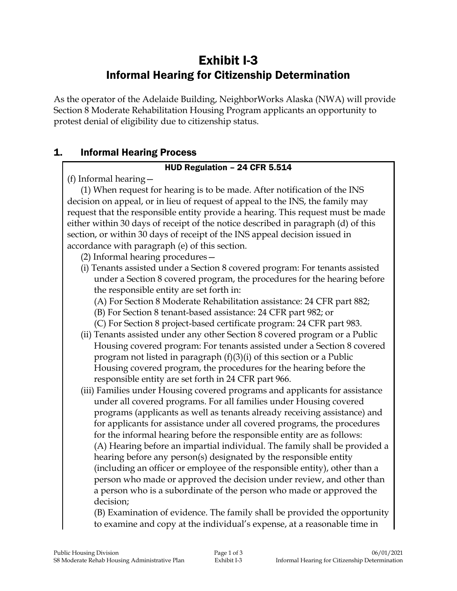# Exhibit I-3 Informal Hearing for Citizenship Determination

As the operator of the Adelaide Building, NeighborWorks Alaska (NWA) will provide Section 8 Moderate Rehabilitation Housing Program applicants an opportunity to protest denial of eligibility due to citizenship status.

### 1. Informal Hearing Process

#### HUD Regulation – 24 CFR 5.514

(f) Informal hearing—

(1) When request for hearing is to be made. After notification of the INS decision on appeal, or in lieu of request of appeal to the INS, the family may request that the responsible entity provide a hearing. This request must be made either within 30 days of receipt of the notice described in paragraph (d) of this section, or within 30 days of receipt of the INS appeal decision issued in accordance with paragraph (e) of this section.

- (2) Informal hearing procedures—
- (i) Tenants assisted under a Section 8 covered program: For tenants assisted under a Section 8 covered program, the procedures for the hearing before the responsible entity are set forth in:
	- (A) For Section 8 Moderate Rehabilitation assistance: 24 CFR part 882;
	- (B) For Section 8 tenant-based assistance: 24 CFR part 982; or
	- (C) For Section 8 project-based certificate program: 24 CFR part 983.
- (ii) Tenants assisted under any other Section 8 covered program or a Public Housing covered program: For tenants assisted under a Section 8 covered program not listed in paragraph (f)(3)(i) of this section or a Public Housing covered program, the procedures for the hearing before the responsible entity are set forth in 24 CFR part 966.
- (iii) Families under Housing covered programs and applicants for assistance under all covered programs. For all families under Housing covered programs (applicants as well as tenants already receiving assistance) and for applicants for assistance under all covered programs, the procedures for the informal hearing before the responsible entity are as follows: (A) Hearing before an impartial individual. The family shall be provided a hearing before any person(s) designated by the responsible entity (including an officer or employee of the responsible entity), other than a person who made or approved the decision under review, and other than a person who is a subordinate of the person who made or approved the decision;

(B) Examination of evidence. The family shall be provided the opportunity to examine and copy at the individual's expense, at a reasonable time in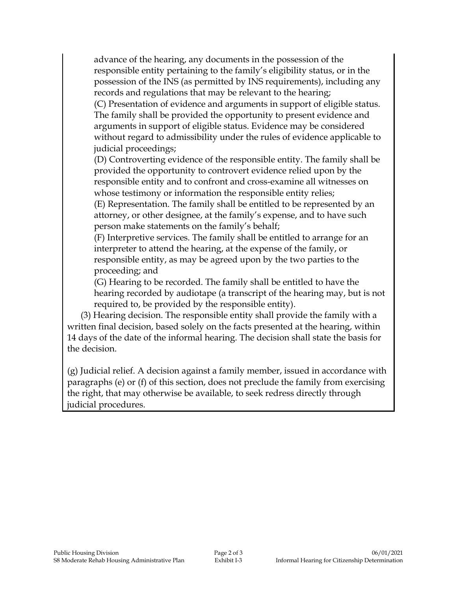advance of the hearing, any documents in the possession of the responsible entity pertaining to the family's eligibility status, or in the possession of the INS (as permitted by INS requirements), including any records and regulations that may be relevant to the hearing;

(C) Presentation of evidence and arguments in support of eligible status. The family shall be provided the opportunity to present evidence and arguments in support of eligible status. Evidence may be considered without regard to admissibility under the rules of evidence applicable to judicial proceedings;

(D) Controverting evidence of the responsible entity. The family shall be provided the opportunity to controvert evidence relied upon by the responsible entity and to confront and cross-examine all witnesses on whose testimony or information the responsible entity relies;

(E) Representation. The family shall be entitled to be represented by an attorney, or other designee, at the family's expense, and to have such person make statements on the family's behalf;

(F) Interpretive services. The family shall be entitled to arrange for an interpreter to attend the hearing, at the expense of the family, or responsible entity, as may be agreed upon by the two parties to the proceeding; and

(G) Hearing to be recorded. The family shall be entitled to have the hearing recorded by audiotape (a transcript of the hearing may, but is not required to, be provided by the responsible entity).

(3) Hearing decision. The responsible entity shall provide the family with a written final decision, based solely on the facts presented at the hearing, within 14 days of the date of the informal hearing. The decision shall state the basis for the decision.

(g) Judicial relief. A decision against a family member, issued in accordance with paragraphs (e) or (f) of this section, does not preclude the family from exercising the right, that may otherwise be available, to seek redress directly through judicial procedures.